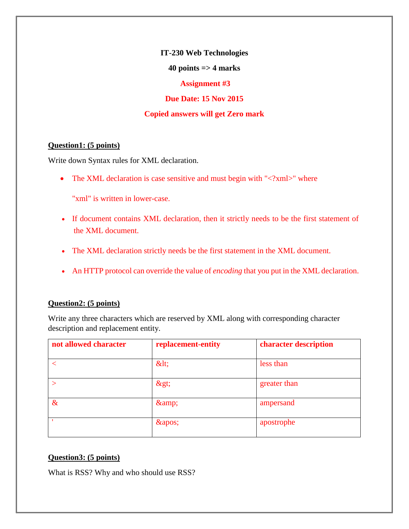**IT-230 Web Technologies**

#### **40 points => 4 marks**

#### **Assignment #3**

## **Due Date: 15 Nov 2015**

## **Copied answers will get Zero mark**

### **Question1: (5 points)**

Write down Syntax rules for XML declaration.

• The XML declaration is case sensitive and must begin with "<?xml>" where

"xml" is written in lower-case.

- If document contains XML declaration, then it strictly needs to be the first statement of the XML document.
- The XML declaration strictly needs be the first statement in the XML document.
- An HTTP protocol can override the value of *encoding* that you put in the XML declaration.

### **Question2: (5 points)**

Write any three characters which are reserved by XML along with corresponding character description and replacement entity.

| not allowed character | replacement-entity | character description |
|-----------------------|--------------------|-----------------------|
|                       | $\&$ lt;           | less than             |
|                       | >                  | greater than          |
| $\&$                  | &                  | ampersand             |
|                       | '                  | apostrophe            |

### **Question3: (5 points)**

What is RSS? Why and who should use RSS?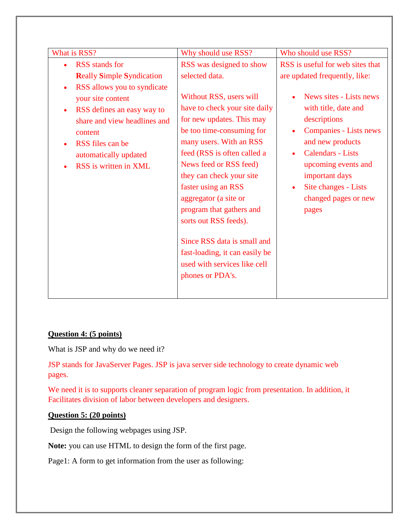| What is RSS?                                                                                                                                                                                                 | Why should use RSS?                                                                                                                                                                                                                                                                                                                                                                                                                                          | Who should use RSS?                                                                                                                                                                                                                                |
|--------------------------------------------------------------------------------------------------------------------------------------------------------------------------------------------------------------|--------------------------------------------------------------------------------------------------------------------------------------------------------------------------------------------------------------------------------------------------------------------------------------------------------------------------------------------------------------------------------------------------------------------------------------------------------------|----------------------------------------------------------------------------------------------------------------------------------------------------------------------------------------------------------------------------------------------------|
| <b>RSS</b> stands for                                                                                                                                                                                        | RSS was designed to show                                                                                                                                                                                                                                                                                                                                                                                                                                     | RSS is useful for web sites that                                                                                                                                                                                                                   |
| <b>Really Simple Syndication</b>                                                                                                                                                                             | selected data.                                                                                                                                                                                                                                                                                                                                                                                                                                               | are updated frequently, like:                                                                                                                                                                                                                      |
| RSS allows you to syndicate<br>your site content<br>RSS defines an easy way to<br>$\bullet$<br>share and view headlines and<br>content<br>RSS files can be<br>automatically updated<br>RSS is written in XML | Without RSS, users will<br>have to check your site daily<br>for new updates. This may<br>be too time-consuming for<br>many users. With an RSS<br>feed (RSS is often called a<br>News feed or RSS feed)<br>they can check your site<br>faster using an RSS<br>aggregator (a site or<br>program that gathers and<br>sorts out RSS feeds).<br>Since RSS data is small and<br>fast-loading, it can easily be<br>used with services like cell<br>phones or PDA's. | News sites - Lists news<br>with title, date and<br>descriptions<br><b>Companies - Lists news</b><br>and new products<br><b>Calendars - Lists</b><br>upcoming events and<br>important days<br>Site changes - Lists<br>changed pages or new<br>pages |
|                                                                                                                                                                                                              |                                                                                                                                                                                                                                                                                                                                                                                                                                                              |                                                                                                                                                                                                                                                    |

# **Question 4: (5 points)**

What is JSP and why do we need it?

JSP stands for JavaServer Pages. JSP is java server side technology to create dynamic web pages.

We need it is to supports cleaner separation of program logic from presentation. In addition, it Facilitates division of labor between developers and designers.

#### **Question 5: (20 points)**

Design the following webpages using JSP.

**Note:** you can use HTML to design the form of the first page.

Page1: A form to get information from the user as following: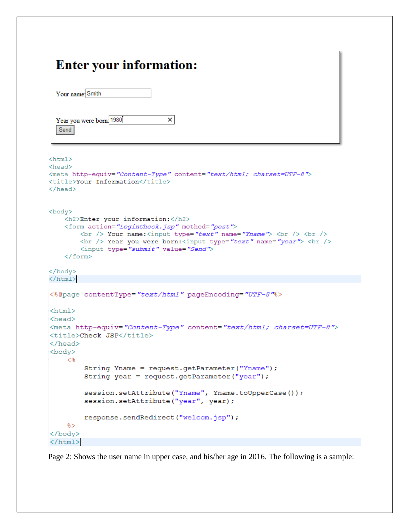# **Enter your information:**

| Your name: Smith |                          |  |
|------------------|--------------------------|--|
|                  |                          |  |
|                  | Year you were born: 1980 |  |
| Send             |                          |  |

```
\verb|thtml|<head>
<meta http-equiv="Content-Type" content="text/html; charset=UTF-8">
<title>Your Information</title>
\langle/head>
<body>
    <h2>Enter your information:</h2>
    <form action="LoginCheck.jsp" method="post">
        <br /> Your name:<input type="text" name="Yname"> <br />> <br />> />
        <br /> Year you were born:<input type="text" name="year"> <br />> />
        <input type="submit" value="Send">
    </form>
</body>
\langle/html>
<%@page contentType="text/html" pageEncoding="UTF-8"%>
\langlehtml\rangle<head>
<meta http-equiv="Content-Type" content="text/html; charset=UTF-8">
<title>Check JSP</title>
\langle/head>
<body>
    <\,>String Yname = request.getParameter("Yname");
         String year = request.getParameter("year");session.setAttribute("Yname", Yname.toUpperCase());
         session.setAttribute("year", year);
         response.sendRedirect("welcom.jsp");
    s</body>
\langle/html>
```
Page 2: Shows the user name in upper case, and his/her age in 2016. The following is a sample: